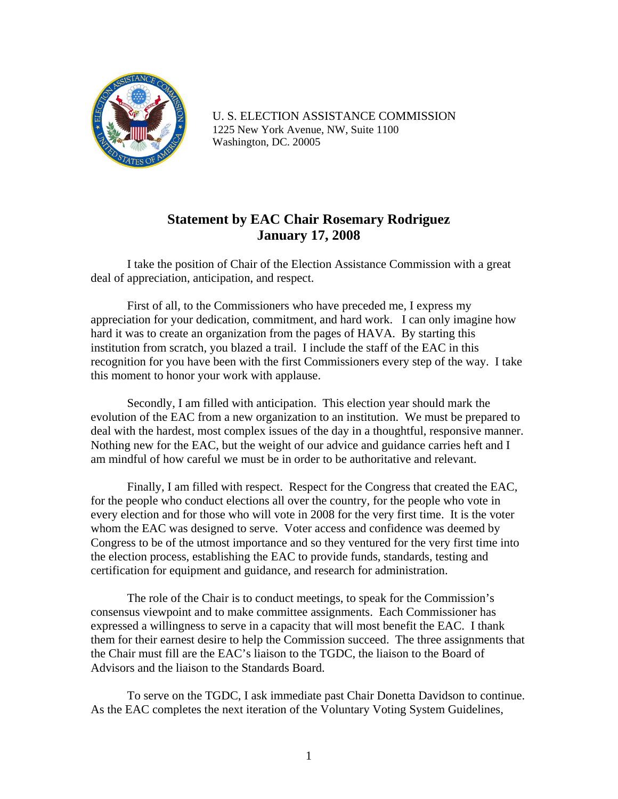

U. S. ELECTION ASSISTANCE COMMISSION 1225 New York Avenue, NW, Suite 1100 Washington, DC. 20005

## **Statement by EAC Chair Rosemary Rodriguez January 17, 2008**

 I take the position of Chair of the Election Assistance Commission with a great deal of appreciation, anticipation, and respect.

First of all, to the Commissioners who have preceded me, I express my appreciation for your dedication, commitment, and hard work. I can only imagine how hard it was to create an organization from the pages of HAVA. By starting this institution from scratch, you blazed a trail. I include the staff of the EAC in this recognition for you have been with the first Commissioners every step of the way. I take this moment to honor your work with applause.

Secondly, I am filled with anticipation. This election year should mark the evolution of the EAC from a new organization to an institution. We must be prepared to deal with the hardest, most complex issues of the day in a thoughtful, responsive manner. Nothing new for the EAC, but the weight of our advice and guidance carries heft and I am mindful of how careful we must be in order to be authoritative and relevant.

Finally, I am filled with respect. Respect for the Congress that created the EAC, for the people who conduct elections all over the country, for the people who vote in every election and for those who will vote in 2008 for the very first time. It is the voter whom the EAC was designed to serve. Voter access and confidence was deemed by Congress to be of the utmost importance and so they ventured for the very first time into the election process, establishing the EAC to provide funds, standards, testing and certification for equipment and guidance, and research for administration.

The role of the Chair is to conduct meetings, to speak for the Commission's consensus viewpoint and to make committee assignments. Each Commissioner has expressed a willingness to serve in a capacity that will most benefit the EAC. I thank them for their earnest desire to help the Commission succeed. The three assignments that the Chair must fill are the EAC's liaison to the TGDC, the liaison to the Board of Advisors and the liaison to the Standards Board.

To serve on the TGDC, I ask immediate past Chair Donetta Davidson to continue. As the EAC completes the next iteration of the Voluntary Voting System Guidelines,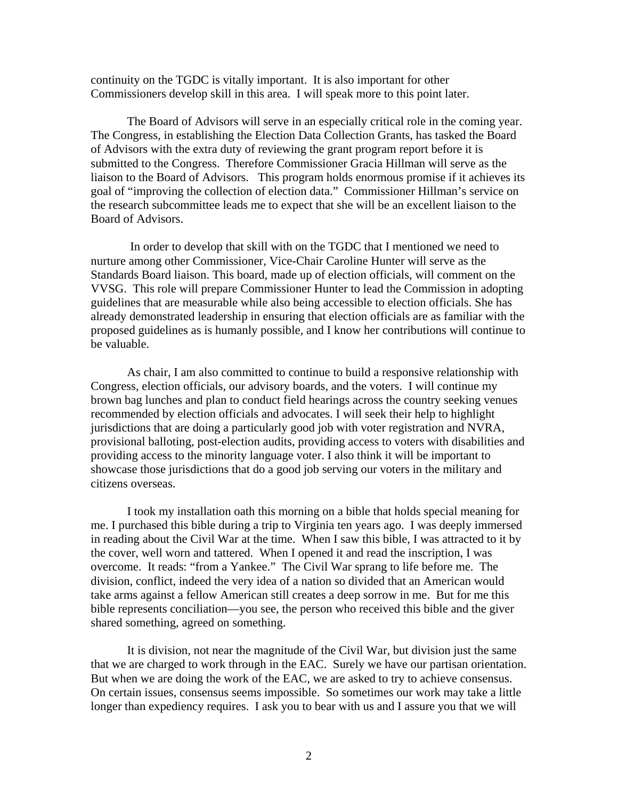continuity on the TGDC is vitally important. It is also important for other Commissioners develop skill in this area. I will speak more to this point later.

The Board of Advisors will serve in an especially critical role in the coming year. The Congress, in establishing the Election Data Collection Grants, has tasked the Board of Advisors with the extra duty of reviewing the grant program report before it is submitted to the Congress. Therefore Commissioner Gracia Hillman will serve as the liaison to the Board of Advisors. This program holds enormous promise if it achieves its goal of "improving the collection of election data." Commissioner Hillman's service on the research subcommittee leads me to expect that she will be an excellent liaison to the Board of Advisors.

 In order to develop that skill with on the TGDC that I mentioned we need to nurture among other Commissioner, Vice-Chair Caroline Hunter will serve as the Standards Board liaison. This board, made up of election officials, will comment on the VVSG. This role will prepare Commissioner Hunter to lead the Commission in adopting guidelines that are measurable while also being accessible to election officials. She has already demonstrated leadership in ensuring that election officials are as familiar with the proposed guidelines as is humanly possible, and I know her contributions will continue to be valuable.

As chair, I am also committed to continue to build a responsive relationship with Congress, election officials, our advisory boards, and the voters. I will continue my brown bag lunches and plan to conduct field hearings across the country seeking venues recommended by election officials and advocates. I will seek their help to highlight jurisdictions that are doing a particularly good job with voter registration and NVRA, provisional balloting, post-election audits, providing access to voters with disabilities and providing access to the minority language voter. I also think it will be important to showcase those jurisdictions that do a good job serving our voters in the military and citizens overseas.

I took my installation oath this morning on a bible that holds special meaning for me. I purchased this bible during a trip to Virginia ten years ago. I was deeply immersed in reading about the Civil War at the time. When I saw this bible, I was attracted to it by the cover, well worn and tattered. When I opened it and read the inscription, I was overcome. It reads: "from a Yankee." The Civil War sprang to life before me. The division, conflict, indeed the very idea of a nation so divided that an American would take arms against a fellow American still creates a deep sorrow in me. But for me this bible represents conciliation—you see, the person who received this bible and the giver shared something, agreed on something.

It is division, not near the magnitude of the Civil War, but division just the same that we are charged to work through in the EAC. Surely we have our partisan orientation. But when we are doing the work of the EAC, we are asked to try to achieve consensus. On certain issues, consensus seems impossible. So sometimes our work may take a little longer than expediency requires. I ask you to bear with us and I assure you that we will